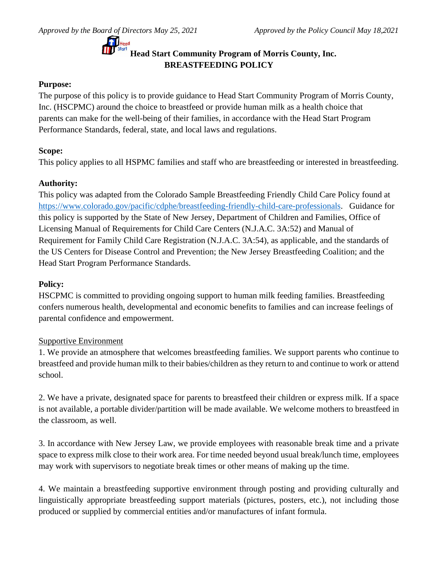## **Head Start Community Program of Morris County, Inc. BREASTFEEDING POLICY**

## **Purpose:**

The purpose of this policy is to provide guidance to Head Start Community Program of Morris County, Inc. (HSCPMC) around the choice to breastfeed or provide human milk as a health choice that parents can make for the well-being of their families, in accordance with the Head Start Program Performance Standards, federal, state, and local laws and regulations.

## **Scope:**

This policy applies to all HSPMC families and staff who are breastfeeding or interested in breastfeeding.

## **Authority:**

This policy was adapted from the Colorado Sample Breastfeeding Friendly Child Care Policy found at [https://www.colorado.gov/pacific/cdphe/breastfeeding-friendly-child-care-professionals.](https://www.colorado.gov/pacific/cdphe/breastfeeding-friendly-child-care-professionals) Guidance for this policy is supported by the State of New Jersey, Department of Children and Families, Office of Licensing Manual of Requirements for Child Care Centers (N.J.A.C. 3A:52) and Manual of Requirement for Family Child Care Registration (N.J.A.C. 3A:54), as applicable, and the standards of the US Centers for Disease Control and Prevention; the New Jersey Breastfeeding Coalition; and the Head Start Program Performance Standards.

## **Policy:**

HSCPMC is committed to providing ongoing support to human milk feeding families. Breastfeeding confers numerous health, developmental and economic benefits to families and can increase feelings of parental confidence and empowerment.

## Supportive Environment

1. We provide an atmosphere that welcomes breastfeeding families. We support parents who continue to breastfeed and provide human milk to their babies/children as they return to and continue to work or attend school.

2. We have a private, designated space for parents to breastfeed their children or express milk. If a space is not available, a portable divider/partition will be made available. We welcome mothers to breastfeed in the classroom, as well.

3. In accordance with New Jersey Law, we provide employees with reasonable break time and a private space to express milk close to their work area. For time needed beyond usual break/lunch time, employees may work with supervisors to negotiate break times or other means of making up the time.

4. We maintain a breastfeeding supportive environment through posting and providing culturally and linguistically appropriate breastfeeding support materials (pictures, posters, etc.), not including those produced or supplied by commercial entities and/or manufactures of infant formula.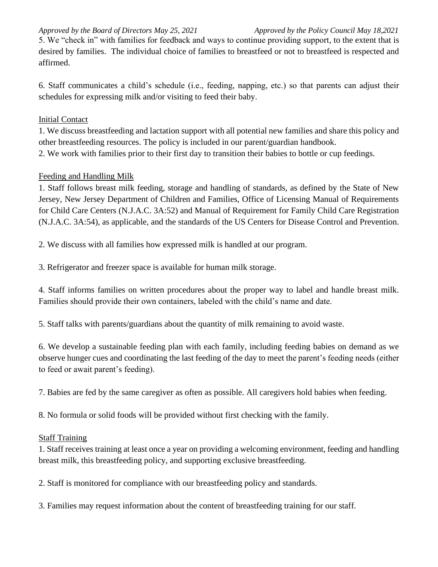*Approved by the Board of Directors May 25, 2021 Approved by the Policy Council May 18,2021*

5. We "check in" with families for feedback and ways to continue providing support, to the extent that is desired by families. The individual choice of families to breastfeed or not to breastfeed is respected and affirmed.

6. Staff communicates a child's schedule (i.e., feeding, napping, etc.) so that parents can adjust their schedules for expressing milk and/or visiting to feed their baby.

## **Initial Contact**

1. We discuss breastfeeding and lactation support with all potential new families and share this policy and other breastfeeding resources. The policy is included in our parent/guardian handbook. 2. We work with families prior to their first day to transition their babies to bottle or cup feedings.

## Feeding and Handling Milk

1. Staff follows breast milk feeding, storage and handling of standards, as defined by the State of New Jersey, New Jersey Department of Children and Families, Office of Licensing Manual of Requirements for Child Care Centers (N.J.A.C. 3A:52) and Manual of Requirement for Family Child Care Registration (N.J.A.C. 3A:54), as applicable, and the standards of the US Centers for Disease Control and Prevention.

2. We discuss with all families how expressed milk is handled at our program.

3. Refrigerator and freezer space is available for human milk storage.

4. Staff informs families on written procedures about the proper way to label and handle breast milk. Families should provide their own containers, labeled with the child's name and date.

5. Staff talks with parents/guardians about the quantity of milk remaining to avoid waste.

6. We develop a sustainable feeding plan with each family, including feeding babies on demand as we observe hunger cues and coordinating the last feeding of the day to meet the parent's feeding needs (either to feed or await parent's feeding).

7. Babies are fed by the same caregiver as often as possible. All caregivers hold babies when feeding.

8. No formula or solid foods will be provided without first checking with the family.

## Staff Training

1. Staff receives training at least once a year on providing a welcoming environment, feeding and handling breast milk, this breastfeeding policy, and supporting exclusive breastfeeding.

2. Staff is monitored for compliance with our breastfeeding policy and standards.

3. Families may request information about the content of breastfeeding training for our staff.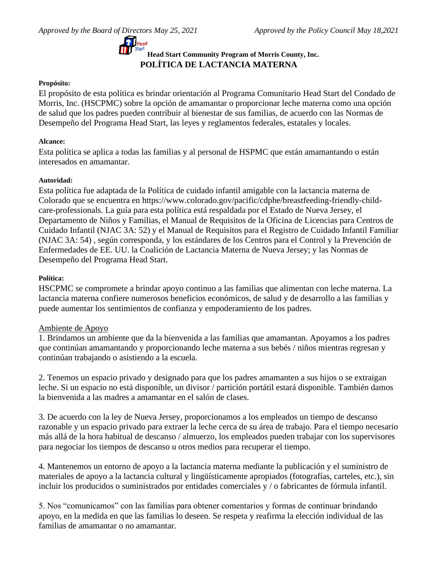

# **Head Start Community Program of Morris County, Inc. POLÍTICA DE LACTANCIA MATERNA**

### **Propósito:**

El propósito de esta política es brindar orientación al Programa Comunitario Head Start del Condado de Morris, Inc. (HSCPMC) sobre la opción de amamantar o proporcionar leche materna como una opción de salud que los padres pueden contribuir al bienestar de sus familias, de acuerdo con las Normas de Desempeño del Programa Head Start, las leyes y reglamentos federales, estatales y locales.

### **Alcance:**

Esta política se aplica a todas las familias y al personal de HSPMC que están amamantando o están interesados en amamantar.

### **Autoridad:**

Esta política fue adaptada de la Política de cuidado infantil amigable con la lactancia materna de Colorado que se encuentra en https://www.colorado.gov/pacific/cdphe/breastfeeding-friendly-childcare-professionals. La guía para esta política está respaldada por el Estado de Nueva Jersey, el Departamento de Niños y Familias, el Manual de Requisitos de la Oficina de Licencias para Centros de Cuidado Infantil (NJAC 3A: 52) y el Manual de Requisitos para el Registro de Cuidado Infantil Familiar (NJAC 3A: 54) , según corresponda, y los estándares de los Centros para el Control y la Prevención de Enfermedades de EE. UU. la Coalición de Lactancia Materna de Nueva Jersey; y las Normas de Desempeño del Programa Head Start.

### **Política:**

HSCPMC se compromete a brindar apoyo continuo a las familias que alimentan con leche materna. La lactancia materna confiere numerosos beneficios económicos, de salud y de desarrollo a las familias y puede aumentar los sentimientos de confianza y empoderamiento de los padres.

### Ambiente de Apoyo

1. Brindamos un ambiente que da la bienvenida a las familias que amamantan. Apoyamos a los padres que continúan amamantando y proporcionando leche materna a sus bebés / niños mientras regresan y continúan trabajando o asistiendo a la escuela.

2. Tenemos un espacio privado y designado para que los padres amamanten a sus hijos o se extraigan leche. Si un espacio no está disponible, un divisor / partición portátil estará disponible. También damos la bienvenida a las madres a amamantar en el salón de clases.

3. De acuerdo con la ley de Nueva Jersey, proporcionamos a los empleados un tiempo de descanso razonable y un espacio privado para extraer la leche cerca de su área de trabajo. Para el tiempo necesario más allá de la hora habitual de descanso / almuerzo, los empleados pueden trabajar con los supervisores para negociar los tiempos de descanso u otros medios para recuperar el tiempo.

4. Mantenemos un entorno de apoyo a la lactancia materna mediante la publicación y el suministro de materiales de apoyo a la lactancia cultural y lingüísticamente apropiados (fotografías, carteles, etc.), sin incluir los producidos o suministrados por entidades comerciales y / o fabricantes de fórmula infantil.

5. Nos "comunicamos" con las familias para obtener comentarios y formas de continuar brindando apoyo, en la medida en que las familias lo deseen. Se respeta y reafirma la elección individual de las familias de amamantar o no amamantar.